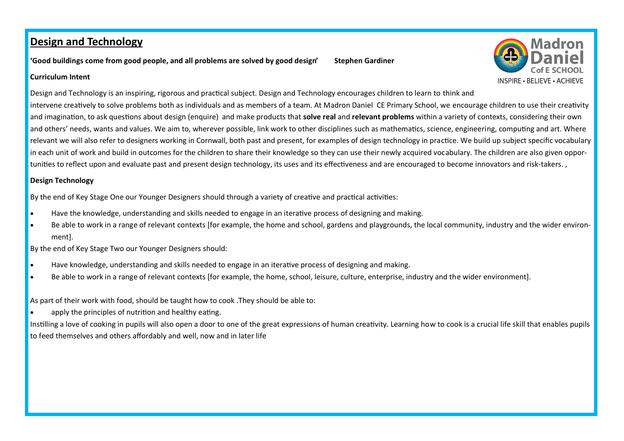**'Good buildings come from good people, and all problems are solved by good design' Stephen Gardiner**



#### **Curriculum Intent**

Design and Technology is an inspiring, rigorous and practical subject. Design and Technology encourages children to learn to think and intervene creatively to solve problems both as individuals and as members of a team. At Madron Daniel CE Primary School, we encourage children to use their creativity and imagination, to ask questions about design (enquire) and make products that **solve real** and **relevant problems** within a variety of contexts, considering their own and others' needs, wants and values. We aim to, wherever possible, link work to other disciplines such as mathematics, science, engineering, computing and art. Where relevant we will also refer to designers working in Cornwall, both past and present, for examples of design technology in practice. We build up subject specific vocabulary in each unit of work and build in outcomes for the children to share their knowledge so they can use their newly acquired vocabulary. The children are also given opportunities to reflect upon and evaluate past and present design technology, its uses and its effectiveness and are encouraged to become innovators and risk-takers. ,

#### **Design Technology**

By the end of Key Stage One our Younger Designers should through a variety of creative and practical activities:

- Have the knowledge, understanding and skills needed to engage in an iterative process of designing and making.
- Be able to work in a range of relevant contexts [for example, the home and school, gardens and playgrounds, the local community, industry and the wider environment].

By the end of Key Stage Two our Younger Designers should:

- Have knowledge, understanding and skills needed to engage in an iterative process of designing and making.
- Be able to work in a range of relevant contexts [for example, the home, school, leisure, culture, enterprise, industry and the wider environment].

As part of their work with food, should be taught how to cook .They should be able to:

apply the principles of nutrition and healthy eating.

Instilling a love of cooking in pupils will also open a door to one of the great expressions of human creativity. Learning how to cook is a crucial life skill that enables pupils to feed themselves and others affordably and well, now and in later life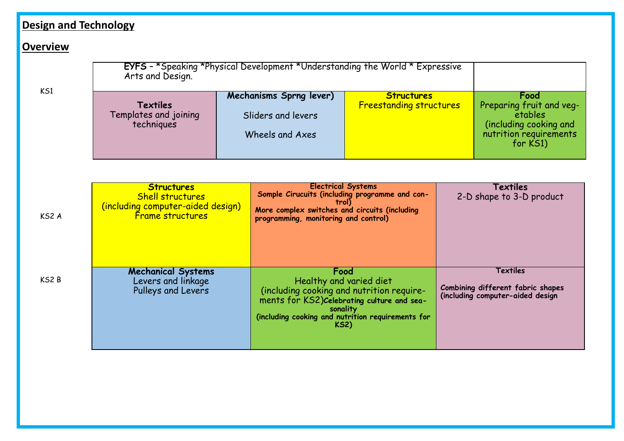#### **Overview**

|                   | <b>EYFS</b> - *Speaking *Physical Development *Understanding the World * Expressive<br>Arts and Design. |  |                                                                                                                                                                               |                                                     |  |                                                                                                             |  |
|-------------------|---------------------------------------------------------------------------------------------------------|--|-------------------------------------------------------------------------------------------------------------------------------------------------------------------------------|-----------------------------------------------------|--|-------------------------------------------------------------------------------------------------------------|--|
| K <sub>S1</sub>   | Textiles<br>Templates and joining<br>techniques                                                         |  | Mechanisms Sprng lever)<br>Sliders and levers<br>Wheels and Axes                                                                                                              | <b>Structures</b><br><b>Freestanding structures</b> |  | Food<br>Preparing fruit and veg-<br>etables<br>(including cooking and<br>nutrition requirements<br>for KS1) |  |
|                   |                                                                                                         |  |                                                                                                                                                                               |                                                     |  |                                                                                                             |  |
| KS <sub>2</sub> A | <b>Structures</b><br><b>Shell structures</b><br>(including computer-aided design)<br>Frame structures   |  | <b>Electrical Systems</b><br>Somple Cirucuits (including programme and con-<br>trol)<br>More complex switches and circuits (including<br>programming, monitoring and control) |                                                     |  | Textiles<br>2-D shape to 3-D product                                                                        |  |
| KS2B              | <b>Mechanical Systems</b><br>Levers and linkage<br>Pulleys and Levers                                   |  | Food<br>Healthy and varied diet<br>(including cooking and nutrition require-<br>ments for KS2) Celebrating culture and sea-<br>sonality                                       |                                                     |  | Textiles<br>Combining different fabric shapes<br>(including computer-aided design                           |  |

**(including cooking and nutrition requirements for KS2)**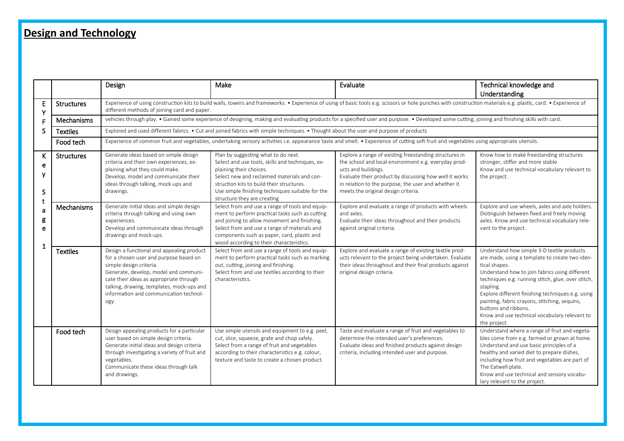|                       |                   | Design                                                                                                                                                                                                                                                                                            | Make                                                                                                                                                                                                                                                                                              | Evaluate                                                                                                                                                                                                                                                                                      | Technical knowledge and                                                                                                                                                                                                                                                                                                                                                                                                           |  |  |
|-----------------------|-------------------|---------------------------------------------------------------------------------------------------------------------------------------------------------------------------------------------------------------------------------------------------------------------------------------------------|---------------------------------------------------------------------------------------------------------------------------------------------------------------------------------------------------------------------------------------------------------------------------------------------------|-----------------------------------------------------------------------------------------------------------------------------------------------------------------------------------------------------------------------------------------------------------------------------------------------|-----------------------------------------------------------------------------------------------------------------------------------------------------------------------------------------------------------------------------------------------------------------------------------------------------------------------------------------------------------------------------------------------------------------------------------|--|--|
|                       |                   |                                                                                                                                                                                                                                                                                                   |                                                                                                                                                                                                                                                                                                   |                                                                                                                                                                                                                                                                                               | Understanding                                                                                                                                                                                                                                                                                                                                                                                                                     |  |  |
| E<br>Y                | <b>Structures</b> | Experience of using construction kits to build walls, towers and frameworks. • Experience of using of basic tools e.g. scissors or hole punches with construction materials e.g. plastic, card. • Experience of<br>different methods of joining card and paper.                                   |                                                                                                                                                                                                                                                                                                   |                                                                                                                                                                                                                                                                                               |                                                                                                                                                                                                                                                                                                                                                                                                                                   |  |  |
|                       | Mechanisms        | vehicles through play. • Gained some experience of designing, making and evaluating products for a specified user and purpose. • Developed some cutting, joining and finishing skills with card.                                                                                                  |                                                                                                                                                                                                                                                                                                   |                                                                                                                                                                                                                                                                                               |                                                                                                                                                                                                                                                                                                                                                                                                                                   |  |  |
| S                     | <b>Textiles</b>   | Explored and used different fabrics. • Cut and joined fabrics with simple techniques. • Thought about the user and purpose of products                                                                                                                                                            |                                                                                                                                                                                                                                                                                                   |                                                                                                                                                                                                                                                                                               |                                                                                                                                                                                                                                                                                                                                                                                                                                   |  |  |
|                       | Food tech         | Experience of common fruit and vegetables, undertaking sensory activities i.e. appearance taste and smell. • Experience of cutting soft fruit and vegetables using appropriate utensils.                                                                                                          |                                                                                                                                                                                                                                                                                                   |                                                                                                                                                                                                                                                                                               |                                                                                                                                                                                                                                                                                                                                                                                                                                   |  |  |
| K<br>e<br>ν<br>S      | <b>Structures</b> | Generate ideas based on simple design<br>criteria and their own experiences, ex-<br>plaining what they could make.<br>Develop, model and communicate their<br>ideas through talking, mock-ups and<br>drawings.                                                                                    | Plan by suggesting what to do next.<br>Select and use tools, skills and techniques, ex-<br>plaining their choices.<br>Select new and reclaimed materials and con-<br>struction kits to build their structures.<br>Use simple finishing techniques suitable for the<br>structure they are creating | Explore a range of existing freestanding structures in<br>the school and local environment e.g. everyday prod-<br>ucts and buildings.<br>Evaluate their product by discussing how well it works<br>in relation to the purpose, the user and whether it<br>meets the original design criteria. | Know how to make freestanding structures<br>stronger, stiffer and more stable.<br>Know and use technical vocabulary relevant to<br>the project.                                                                                                                                                                                                                                                                                   |  |  |
| t<br>a<br>g<br>e<br>1 | Mechanisms        | Generate initial ideas and simple design<br>criteria through talking and using own<br>experiences.<br>Develop and communicate ideas through<br>drawings and mock-ups.                                                                                                                             | Select from and use a range of tools and equip-<br>ment to perform practical tasks such as cutting<br>and joining to allow movement and finishing.<br>Select from and use a range of materials and<br>components such as paper, card, plastic and<br>wood according to their characteristics.     | Explore and evaluate a range of products with wheels<br>and axles.<br>Evaluate their ideas throughout and their products<br>against original criteria.                                                                                                                                        | Explore and use wheels, axles and axle holders.<br>Distinguish between fixed and freely moving<br>axles. Know and use technical vocabulary rele-<br>vant to the project.                                                                                                                                                                                                                                                          |  |  |
|                       | <b>Textiles</b>   | Design a functional and appealing product<br>for a chosen user and purpose based on<br>simple design criteria.<br>Generate, develop, model and communi-<br>cate their ideas as appropriate through<br>talking, drawing, templates, mock-ups and<br>information and communication technol-<br>ogy. | Select from and use a range of tools and equip-<br>ment to perform practical tasks such as marking<br>out, cutting, joining and finishing.<br>Select from and use textiles according to their<br>characteristics.                                                                                 | Explore and evaluate a range of existing textile prod-<br>ucts relevant to the project being undertaken. Evaluate<br>their ideas throughout and their final products against<br>original design criteria.                                                                                     | Understand how simple 3-D textile products<br>are made, using a template to create two iden-<br>tical shapes.<br>Understand how to join fabrics using different<br>techniques e.g. running stitch, glue, over stitch,<br>stapling.<br>Explore different finishing techniques e.g. using<br>painting, fabric crayons, stitching, sequins,<br>buttons and ribbons.<br>Know and use technical vocabulary relevant to<br>the project. |  |  |
|                       | Food tech         | Design appealing products for a particular<br>user based on simple design criteria.<br>Generate initial ideas and design criteria<br>through investigating a variety of fruit and<br>vegetables.<br>Communicate these ideas through talk<br>and drawings.                                         | Use simple utensils and equipment to e.g. peel,<br>cut, slice, squeeze, grate and chop safely.<br>Select from a range of fruit and vegetables<br>according to their characteristics e.g. colour,<br>texture and taste to create a chosen product.                                                 | Taste and evaluate a range of fruit and vegetables to<br>determine the intended user's preferences.<br>Evaluate ideas and finished products against design<br>criteria, including intended user and purpose.                                                                                  | Understand where a range of fruit and vegeta-<br>bles come from e.g. farmed or grown at home.<br>Understand and use basic principles of a<br>healthy and varied diet to prepare dishes,<br>including how fruit and vegetables are part of<br>The Eatwell plate.<br>Know and use technical and sensory vocabu-<br>lary relevant to the project.                                                                                    |  |  |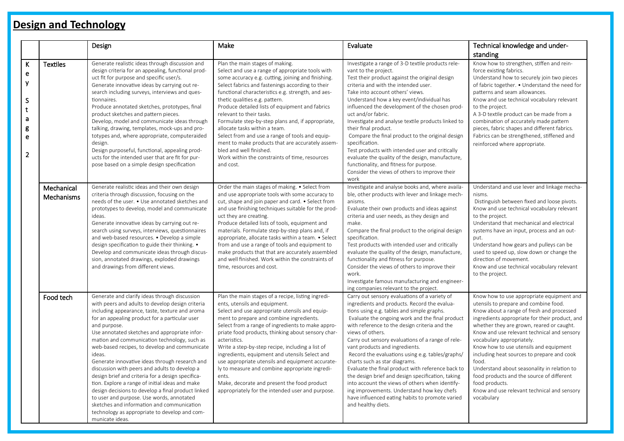|                                                                |                          | Design                                                                                                                                                                                                                                                                                                                                                                                                                                                                                                                                                                                                                                                                                                                                                                                                           | Make                                                                                                                                                                                                                                                                                                                                                                                                                                                                                                                                                                                                                                                        | Evaluate                                                                                                                                                                                                                                                                                                                                                                                                                                                                                                                                                                                                                                                                                                                            | Technical knowledge and under-                                                                                                                                                                                                                                                                                                                                                                                                                                                                                                                                                         |
|----------------------------------------------------------------|--------------------------|------------------------------------------------------------------------------------------------------------------------------------------------------------------------------------------------------------------------------------------------------------------------------------------------------------------------------------------------------------------------------------------------------------------------------------------------------------------------------------------------------------------------------------------------------------------------------------------------------------------------------------------------------------------------------------------------------------------------------------------------------------------------------------------------------------------|-------------------------------------------------------------------------------------------------------------------------------------------------------------------------------------------------------------------------------------------------------------------------------------------------------------------------------------------------------------------------------------------------------------------------------------------------------------------------------------------------------------------------------------------------------------------------------------------------------------------------------------------------------------|-------------------------------------------------------------------------------------------------------------------------------------------------------------------------------------------------------------------------------------------------------------------------------------------------------------------------------------------------------------------------------------------------------------------------------------------------------------------------------------------------------------------------------------------------------------------------------------------------------------------------------------------------------------------------------------------------------------------------------------|----------------------------------------------------------------------------------------------------------------------------------------------------------------------------------------------------------------------------------------------------------------------------------------------------------------------------------------------------------------------------------------------------------------------------------------------------------------------------------------------------------------------------------------------------------------------------------------|
|                                                                |                          |                                                                                                                                                                                                                                                                                                                                                                                                                                                                                                                                                                                                                                                                                                                                                                                                                  |                                                                                                                                                                                                                                                                                                                                                                                                                                                                                                                                                                                                                                                             |                                                                                                                                                                                                                                                                                                                                                                                                                                                                                                                                                                                                                                                                                                                                     | standing                                                                                                                                                                                                                                                                                                                                                                                                                                                                                                                                                                               |
| K<br>e<br>y<br>${\sf S}$<br>t<br>a<br>g<br>e<br>$\overline{2}$ | <b>Textiles</b>          | Generate realistic ideas through discussion and<br>design criteria for an appealing, functional prod-<br>uct fit for purpose and specific user/s.<br>Generate innovative ideas by carrying out re-<br>search including surveys, interviews and ques-<br>tionnaires.<br>Produce annotated sketches, prototypes, final<br>product sketches and pattern pieces.<br>Develop, model and communicate ideas through<br>talking, drawing, templates, mock-ups and pro-<br>totypes and, where appropriate, computeraided<br>design.<br>Design purposeful, functional, appealing prod-<br>ucts for the intended user that are fit for pur-<br>pose based on a simple design specification                                                                                                                                  | Plan the main stages of making.<br>Select and use a range of appropriate tools with<br>some accuracy e.g. cutting, joining and finishing.<br>Select fabrics and fastenings according to their<br>functional characteristics e.g. strength, and aes-<br>thetic qualities e.g. pattern.<br>Produce detailed lists of equipment and fabrics<br>relevant to their tasks.<br>Formulate step-by-step plans and, if appropriate,<br>allocate tasks within a team.<br>Select from and use a range of tools and equip-<br>ment to make products that are accurately assem-<br>bled and well finished.<br>Work within the constraints of time, resources<br>and cost. | Investigate a range of 3-D textile products rele-<br>vant to the project.<br>Test their product against the original design<br>criteria and with the intended user.<br>Take into account others' views.<br>Understand how a key event/individual has<br>influenced the development of the chosen prod-<br>uct and/or fabric.<br>Investigate and analyse textile products linked to<br>their final product.<br>Compare the final product to the original design<br>specification.<br>Test products with intended user and critically<br>evaluate the quality of the design, manufacture,<br>functionality, and fitness for purpose.<br>Consider the views of others to improve their<br>work                                         | Know how to strengthen, stiffen and rein-<br>force existing fabrics.<br>Understand how to securely join two pieces<br>of fabric together. • Understand the need for<br>patterns and seam allowances.<br>Know and use technical vocabulary relevant<br>to the project.<br>A 3-D textile product can be made from a<br>combination of accurately made pattern<br>pieces, fabric shapes and different fabrics.<br>Fabrics can be strengthened, stiffened and<br>reinforced where appropriate.                                                                                             |
|                                                                | Mechanical<br>Mechanisms | Generate realistic ideas and their own design<br>criteria through discussion, focusing on the<br>needs of the user. • Use annotated sketches and<br>prototypes to develop, model and communicate<br>ideas.<br>Generate innovative ideas by carrying out re-<br>search using surveys, interviews, questionnaires<br>and web-based resources. • Develop a simple<br>design specification to guide their thinking. •<br>Develop and communicate ideas through discus-<br>sion, annotated drawings, exploded drawings<br>and drawings from different views.                                                                                                                                                                                                                                                          | Order the main stages of making. • Select from<br>and use appropriate tools with some accuracy to<br>cut, shape and join paper and card. • Select from<br>and use finishing techniques suitable for the prod-<br>uct they are creating.<br>Produce detailed lists of tools, equipment and<br>materials. Formulate step-by-step plans and, if<br>appropriate, allocate tasks within a team. • Select<br>from and use a range of tools and equipment to<br>make products that that are accurately assembled<br>and well finished. Work within the constraints of<br>time, resources and cost.                                                                 | Investigate and analyse books and, where availa-<br>ble, other products with lever and linkage mech-<br>anisms.<br>Evaluate their own products and ideas against<br>criteria and user needs, as they design and<br>make.<br>Compare the final product to the original design<br>specification.<br>Test products with intended user and critically<br>evaluate the quality of the design, manufacture,<br>functionality and fitness for purpose.<br>Consider the views of others to improve their<br>work.<br>Investigate famous manufacturing and engineer-<br>ing companies relevant to the project.                                                                                                                               | Understand and use lever and linkage mecha-<br>nisms.<br>Distinguish between fixed and loose pivots.<br>Know and use technical vocabulary relevant<br>to the project.<br>Understand that mechanical and electrical<br>systems have an input, process and an out-<br>put.<br>Understand how gears and pulleys can be<br>used to speed up, slow down or change the<br>direction of movement.<br>Know and use technical vocabulary relevant<br>to the project.                                                                                                                            |
|                                                                | Food tech                | Generate and clarify ideas through discussion<br>with peers and adults to develop design criteria<br>including appearance, taste, texture and aroma<br>for an appealing product for a particular user<br>and purpose.<br>Use annotated sketches and appropriate infor-<br>mation and communication technology, such as<br>web-based recipes, to develop and communicate<br>ideas.<br>Generate innovative ideas through research and<br>discussion with peers and adults to develop a<br>design brief and criteria for a design specifica-<br>tion. Explore a range of initial ideas and make<br>design decisions to develop a final product linked<br>to user and purpose. Use words, annotated<br>sketches and information and communication<br>technology as appropriate to develop and com-<br>municate ideas | Plan the main stages of a recipe, listing ingredi-<br>ents, utensils and equipment.<br>Select and use appropriate utensils and equip-<br>ment to prepare and combine ingredients.<br>Select from a range of ingredients to make appro-<br>priate food products, thinking about sensory char-<br>acteristics.<br>Write a step-by-step recipe, including a list of<br>ingredients, equipment and utensils Select and<br>use appropriate utensils and equipment accurate-<br>ly to measure and combine appropriate ingredi-<br>ents.<br>Make, decorate and present the food product<br>appropriately for the intended user and purpose.                        | Carry out sensory evaluations of a variety of<br>ingredients and products. Record the evalua-<br>tions using e.g. tables and simple graphs.<br>Evaluate the ongoing work and the final product<br>with reference to the design criteria and the<br>views of others.<br>Carry out sensory evaluations of a range of rele-<br>vant products and ingredients.<br>Record the evaluations using e.g. tables/graphs/<br>charts such as star diagrams.<br>Evaluate the final product with reference back to<br>the design brief and design specification, taking<br>into account the views of others when identify-<br>ing improvements. Understand how key chefs<br>have influenced eating habits to promote varied<br>and healthy diets. | Know how to use appropriate equipment and<br>utensils to prepare and combine food.<br>Know about a range of fresh and processed<br>ingredients appropriate for their product, and<br>whether they are grown, reared or caught.<br>Know and use relevant technical and sensory<br>vocabulary appropriately.<br>Know how to use utensils and equipment<br>including heat sources to prepare and cook<br>food.<br>Understand about seasonality in relation to<br>food products and the source of different<br>food products.<br>Know and use relevant technical and sensory<br>vocabulary |